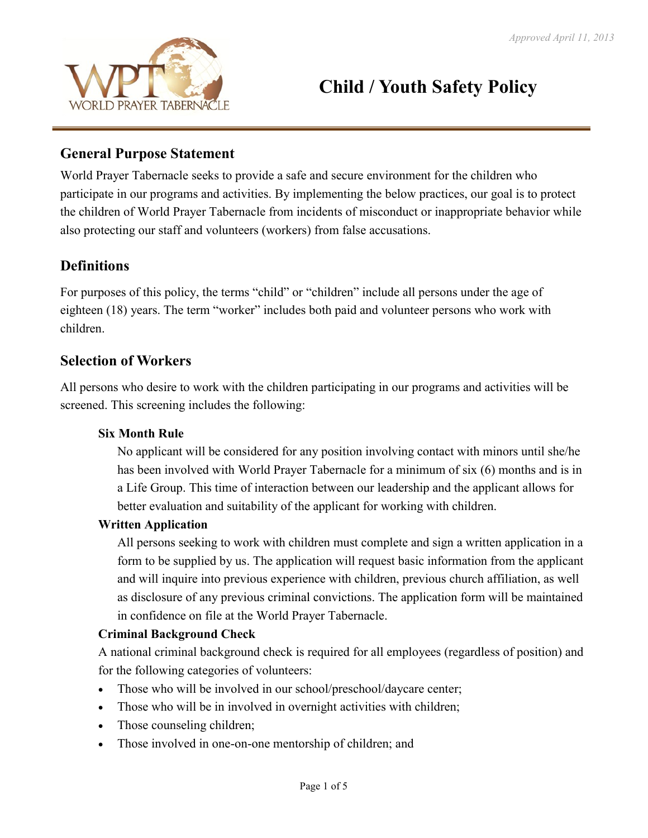

# **Child / Youth Safety Policy**

#### **General Purpose Statement**

World Prayer Tabernacle seeks to provide a safe and secure environment for the children who participate in our programs and activities. By implementing the below practices, our goal is to protect the children of World Prayer Tabernacle from incidents of misconduct or inappropriate behavior while also protecting our staff and volunteers (workers) from false accusations.

# **Definitions**

For purposes of this policy, the terms "child" or "children" include all persons under the age of eighteen (18) years. The term "worker" includes both paid and volunteer persons who work with children.

#### **Selection of Workers**

All persons who desire to work with the children participating in our programs and activities will be screened. This screening includes the following:

#### **Six Month Rule**

No applicant will be considered for any position involving contact with minors until she/he has been involved with World Prayer Tabernacle for a minimum of six (6) months and is in a Life Group. This time of interaction between our leadership and the applicant allows for better evaluation and suitability of the applicant for working with children.

#### **Written Application**

All persons seeking to work with children must complete and sign a written application in a form to be supplied by us. The application will request basic information from the applicant and will inquire into previous experience with children, previous church affiliation, as well as disclosure of any previous criminal convictions. The application form will be maintained in confidence on file at the World Prayer Tabernacle.

#### **Criminal Background Check**

A national criminal background check is required for all employees (regardless of position) and for the following categories of volunteers:

- Those who will be involved in our school/preschool/daycare center;
- Those who will be in involved in overnight activities with children;
- Those counseling children;
- Those involved in one-on-one mentorship of children; and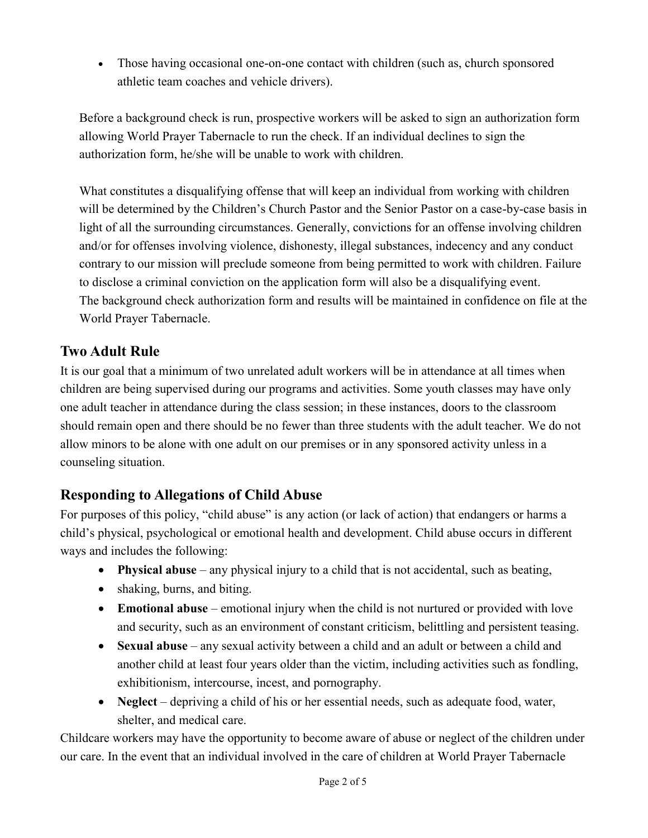• Those having occasional one-on-one contact with children (such as, church sponsored athletic team coaches and vehicle drivers).

Before a background check is run, prospective workers will be asked to sign an authorization form allowing World Prayer Tabernacle to run the check. If an individual declines to sign the authorization form, he/she will be unable to work with children.

What constitutes a disqualifying offense that will keep an individual from working with children will be determined by the Children's Church Pastor and the Senior Pastor on a case-by-case basis in light of all the surrounding circumstances. Generally, convictions for an offense involving children and/or for offenses involving violence, dishonesty, illegal substances, indecency and any conduct contrary to our mission will preclude someone from being permitted to work with children. Failure to disclose a criminal conviction on the application form will also be a disqualifying event. The background check authorization form and results will be maintained in confidence on file at the World Prayer Tabernacle.

# **Two Adult Rule**

It is our goal that a minimum of two unrelated adult workers will be in attendance at all times when children are being supervised during our programs and activities. Some youth classes may have only one adult teacher in attendance during the class session; in these instances, doors to the classroom should remain open and there should be no fewer than three students with the adult teacher. We do not allow minors to be alone with one adult on our premises or in any sponsored activity unless in a counseling situation.

## **Responding to Allegations of Child Abuse**

For purposes of this policy, "child abuse" is any action (or lack of action) that endangers or harms a child's physical, psychological or emotional health and development. Child abuse occurs in different ways and includes the following:

- **Physical abuse** any physical injury to a child that is not accidental, such as beating,
- shaking, burns, and biting.
- **Emotional abuse** emotional injury when the child is not nurtured or provided with love and security, such as an environment of constant criticism, belittling and persistent teasing.
- **Sexual abuse** any sexual activity between a child and an adult or between a child and another child at least four years older than the victim, including activities such as fondling, exhibitionism, intercourse, incest, and pornography.
- **Neglect** depriving a child of his or her essential needs, such as adequate food, water, shelter, and medical care.

Childcare workers may have the opportunity to become aware of abuse or neglect of the children under our care. In the event that an individual involved in the care of children at World Prayer Tabernacle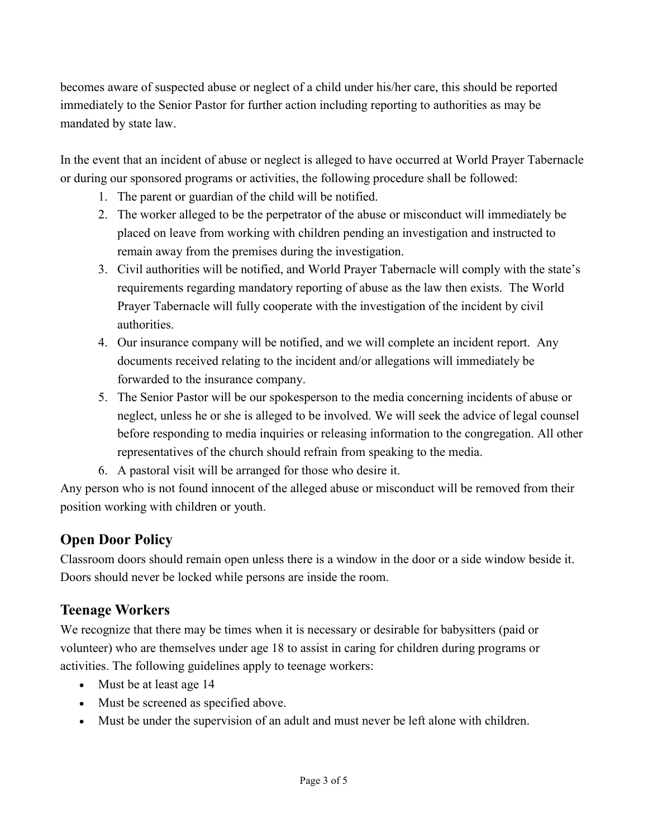becomes aware of suspected abuse or neglect of a child under his/her care, this should be reported immediately to the Senior Pastor for further action including reporting to authorities as may be mandated by state law.

In the event that an incident of abuse or neglect is alleged to have occurred at World Prayer Tabernacle or during our sponsored programs or activities, the following procedure shall be followed:

- 1. The parent or guardian of the child will be notified.
- 2. The worker alleged to be the perpetrator of the abuse or misconduct will immediately be placed on leave from working with children pending an investigation and instructed to remain away from the premises during the investigation.
- 3. Civil authorities will be notified, and World Prayer Tabernacle will comply with the state's requirements regarding mandatory reporting of abuse as the law then exists. The World Prayer Tabernacle will fully cooperate with the investigation of the incident by civil authorities.
- 4. Our insurance company will be notified, and we will complete an incident report. Any documents received relating to the incident and/or allegations will immediately be forwarded to the insurance company.
- 5. The Senior Pastor will be our spokesperson to the media concerning incidents of abuse or neglect, unless he or she is alleged to be involved. We will seek the advice of legal counsel before responding to media inquiries or releasing information to the congregation. All other representatives of the church should refrain from speaking to the media.
- 6. A pastoral visit will be arranged for those who desire it.

Any person who is not found innocent of the alleged abuse or misconduct will be removed from their position working with children or youth.

## **Open Door Policy**

Classroom doors should remain open unless there is a window in the door or a side window beside it. Doors should never be locked while persons are inside the room.

## **Teenage Workers**

We recognize that there may be times when it is necessary or desirable for babysitters (paid or volunteer) who are themselves under age 18 to assist in caring for children during programs or activities. The following guidelines apply to teenage workers:

- Must be at least age 14
- Must be screened as specified above.
- Must be under the supervision of an adult and must never be left alone with children.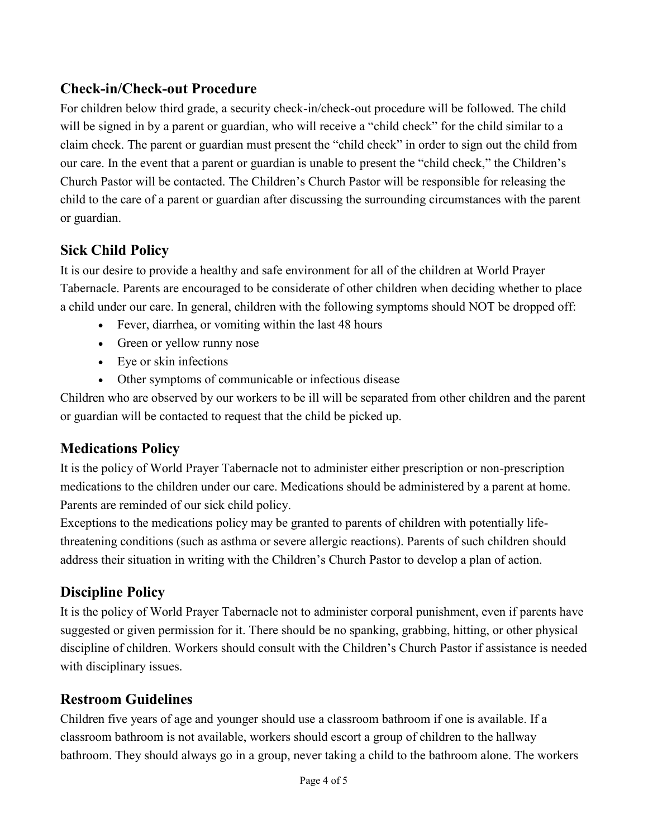# **Check-in/Check-out Procedure**

For children below third grade, a security check-in/check-out procedure will be followed. The child will be signed in by a parent or guardian, who will receive a "child check" for the child similar to a claim check. The parent or guardian must present the "child check" in order to sign out the child from our care. In the event that a parent or guardian is unable to present the "child check," the Children's Church Pastor will be contacted. The Children's Church Pastor will be responsible for releasing the child to the care of a parent or guardian after discussing the surrounding circumstances with the parent or guardian.

# **Sick Child Policy**

It is our desire to provide a healthy and safe environment for all of the children at World Prayer Tabernacle. Parents are encouraged to be considerate of other children when deciding whether to place a child under our care. In general, children with the following symptoms should NOT be dropped off:

- Fever, diarrhea, or vomiting within the last 48 hours
- Green or yellow runny nose
- Eye or skin infections
- Other symptoms of communicable or infectious disease

Children who are observed by our workers to be ill will be separated from other children and the parent or guardian will be contacted to request that the child be picked up.

## **Medications Policy**

It is the policy of World Prayer Tabernacle not to administer either prescription or non-prescription medications to the children under our care. Medications should be administered by a parent at home. Parents are reminded of our sick child policy.

Exceptions to the medications policy may be granted to parents of children with potentially lifethreatening conditions (such as asthma or severe allergic reactions). Parents of such children should address their situation in writing with the Children's Church Pastor to develop a plan of action.

# **Discipline Policy**

It is the policy of World Prayer Tabernacle not to administer corporal punishment, even if parents have suggested or given permission for it. There should be no spanking, grabbing, hitting, or other physical discipline of children. Workers should consult with the Children's Church Pastor if assistance is needed with disciplinary issues.

#### **Restroom Guidelines**

Children five years of age and younger should use a classroom bathroom if one is available. If a classroom bathroom is not available, workers should escort a group of children to the hallway bathroom. They should always go in a group, never taking a child to the bathroom alone. The workers